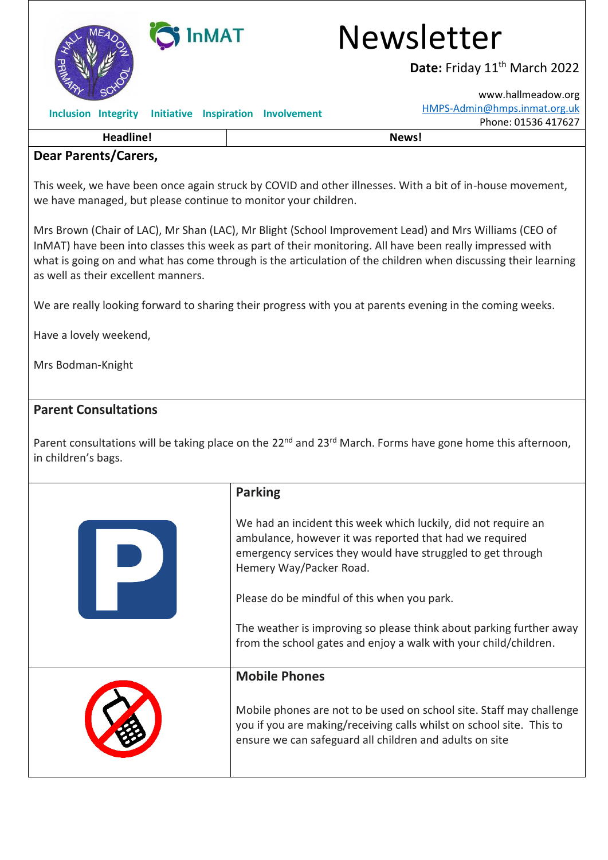

## **Dear Parents/Carers,**

This week, we have been once again struck by COVID and other illnesses. With a bit of in-house movement, we have managed, but please continue to monitor your children.

Mrs Brown (Chair of LAC), Mr Shan (LAC), Mr Blight (School Improvement Lead) and Mrs Williams (CEO of InMAT) have been into classes this week as part of their monitoring. All have been really impressed with what is going on and what has come through is the articulation of the children when discussing their learning as well as their excellent manners.

We are really looking forward to sharing their progress with you at parents evening in the coming weeks.

Have a lovely weekend,

Mrs Bodman-Knight

## **Parent Consultations**

Parent consultations will be taking place on the 22<sup>nd</sup> and 23<sup>rd</sup> March. Forms have gone home this afternoon, in children's bags.

| <b>Parking</b>                                                                                                                                                                                                      |
|---------------------------------------------------------------------------------------------------------------------------------------------------------------------------------------------------------------------|
| We had an incident this week which luckily, did not require an<br>ambulance, however it was reported that had we required<br>emergency services they would have struggled to get through<br>Hemery Way/Packer Road. |
| Please do be mindful of this when you park.                                                                                                                                                                         |
| The weather is improving so please think about parking further away<br>from the school gates and enjoy a walk with your child/children.                                                                             |
| <b>Mobile Phones</b>                                                                                                                                                                                                |
| Mobile phones are not to be used on school site. Staff may challenge<br>you if you are making/receiving calls whilst on school site. This to<br>ensure we can safeguard all children and adults on site             |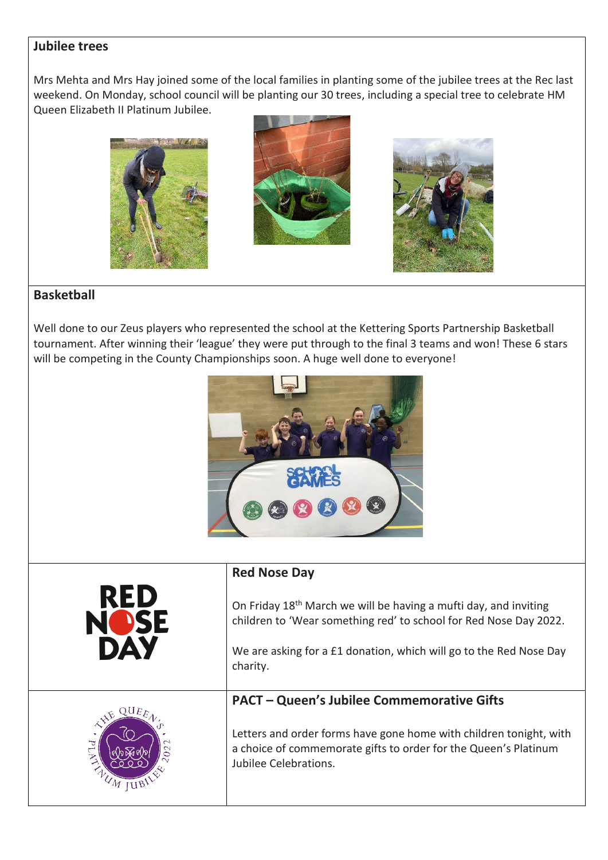## **Jubilee trees**

Mrs Mehta and Mrs Hay joined some of the local families in planting some of the jubilee trees at the Rec last weekend. On Monday, school council will be planting our 30 trees, including a special tree to celebrate HM Queen Elizabeth II Platinum Jubilee.







## **Basketball**

Well done to our Zeus players who represented the school at the Kettering Sports Partnership Basketball tournament. After winning their 'league' they were put through to the final 3 teams and won! These 6 stars will be competing in the County Championships soon. A huge well done to everyone!



| <b>Red Nose Day</b>                                                                                                                                                                                                                 |
|-------------------------------------------------------------------------------------------------------------------------------------------------------------------------------------------------------------------------------------|
| On Friday 18 <sup>th</sup> March we will be having a mufti day, and inviting<br>children to 'Wear something red' to school for Red Nose Day 2022.<br>We are asking for a £1 donation, which will go to the Red Nose Day<br>charity. |
| <b>PACT - Queen's Jubilee Commemorative Gifts</b><br>Letters and order forms have gone home with children tonight, with<br>a choice of commemorate gifts to order for the Queen's Platinum<br>Jubilee Celebrations.                 |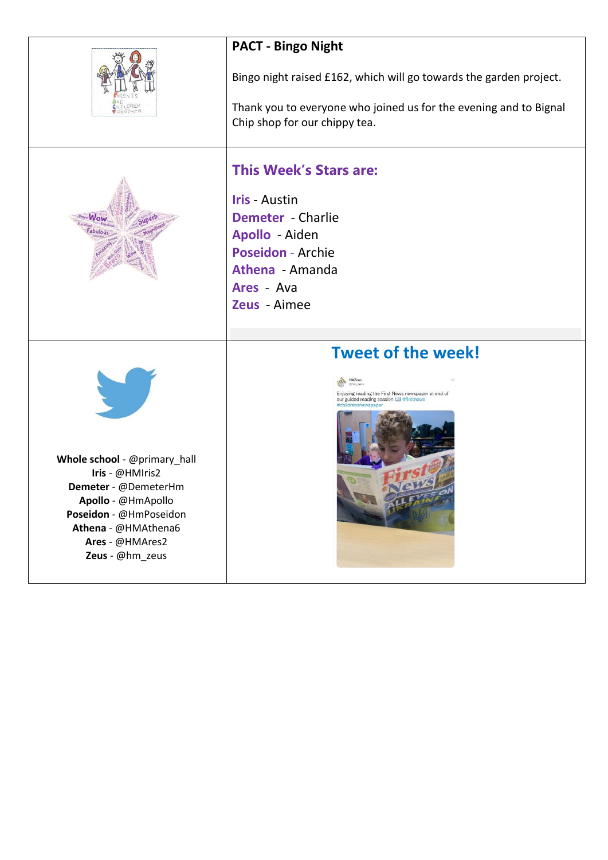|                                                                                                                                                                                      | <b>PACT - Bingo Night</b>                                                                                                                                                        |
|--------------------------------------------------------------------------------------------------------------------------------------------------------------------------------------|----------------------------------------------------------------------------------------------------------------------------------------------------------------------------------|
|                                                                                                                                                                                      | Bingo night raised £162, which will go towards the garden project.<br>Thank you to everyone who joined us for the evening and to Bignal<br>Chip shop for our chippy tea.         |
|                                                                                                                                                                                      | <b>This Week's Stars are:</b><br><b>Iris - Austin</b><br><b>Demeter</b> - Charlie<br>Apollo - Aiden<br><b>Poseidon - Archie</b><br>Athena - Amanda<br>Ares - Ava<br>Zeus - Aimee |
| Whole school - @primary_hall<br>Iris - @HMIris2<br>Demeter - @DemeterHm<br>Apollo - @HmApollo<br>Poseidon - @HmPoseidon<br>Athena - @HMAthena6<br>Ares - @HMAres2<br>Zeus - @hm_zeus | <b>Tweet of the week!</b><br>m zeu<br>Enjoying reading the First News newspaper at end of<br>our guided reading session [1] #firstnews                                           |